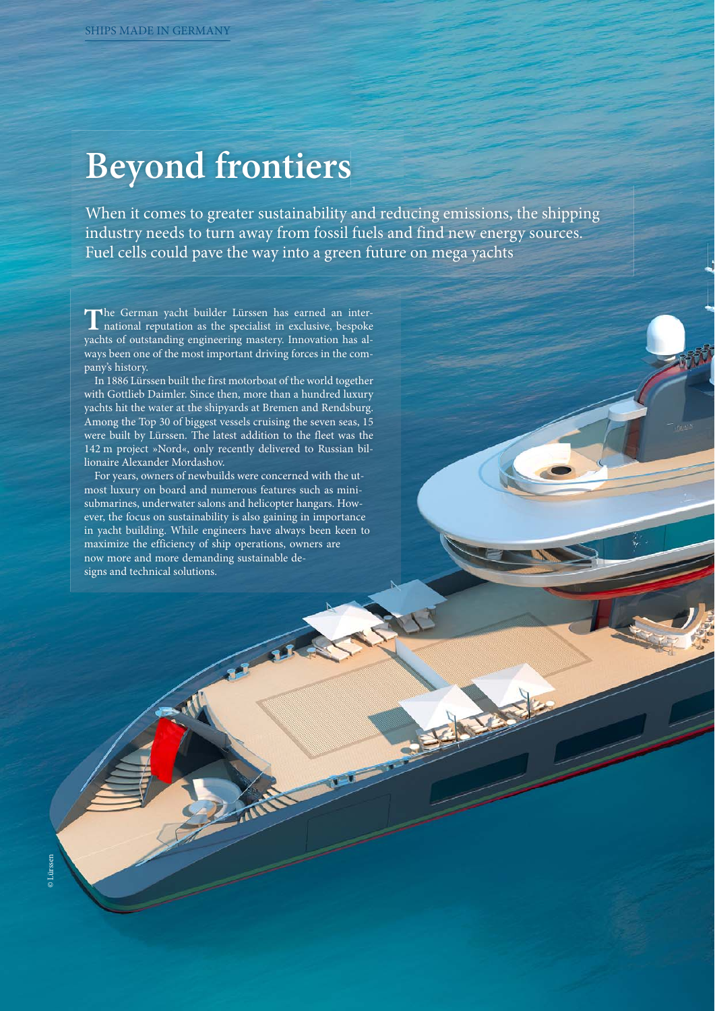# **Beyond frontiers**

When it comes to greater sustainability and reducing emissions, the shipping industry needs to turn away from fossil fuels and find new energy sources. Fuel cells could pave the way into a green future on mega yachts

The German yacht builder Lürssen has earned an international reputation as the specialist in exclusive, bespoke yachts of outstanding engineering mastery. Innovation has always been one of the most important driving forces in the company's history.

In 1886 Lürssen built the first motorboat of the world together with Gottlieb Daimler. Since then, more than a hundred luxury yachts hit the water at the shipyards at Bremen and Rendsburg. Among the Top 30 of biggest vessels cruising the seven seas, 15 were built by Lürssen. The latest addition to the fleet was the 142 m project »Nord«, only recently delivered to Russian billionaire Alexander Mordashov.

For years, owners of newbuilds were concerned with the utmost luxury on board and numerous features such as minisubmarines, underwater salons and helicopter hangars. However, the focus on sustainability is also gaining in importance in yacht building. While engineers have always been keen to maximize the efficiency of ship operations, owners are now more and more demanding sustainable designs and technical solutions.

Far R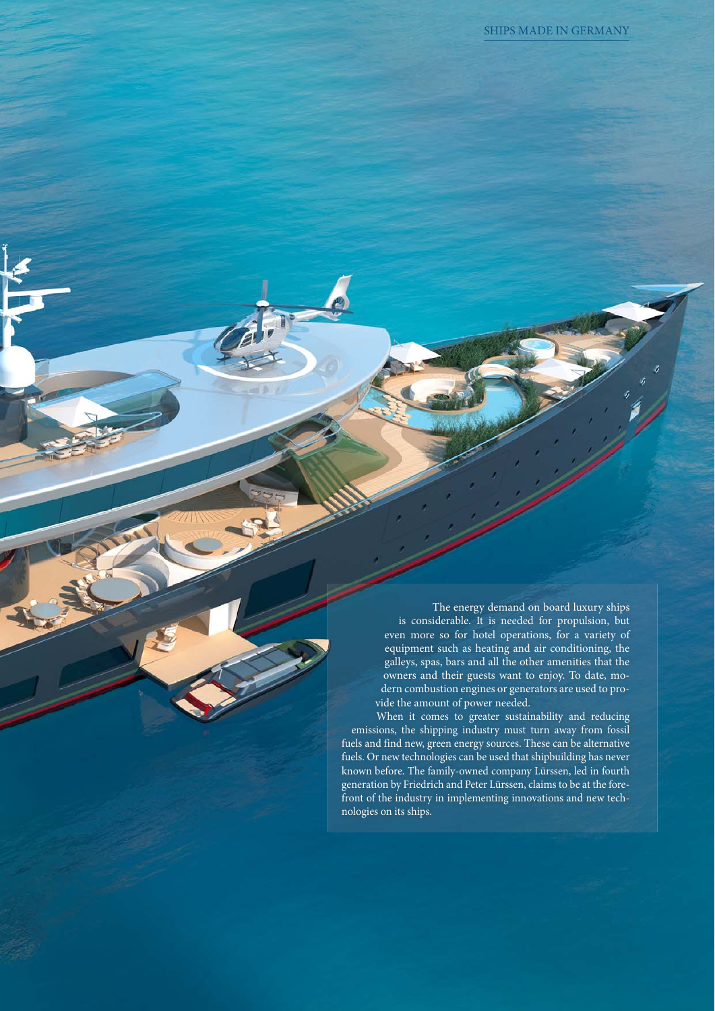The energy demand on board luxury ships is considerable. It is needed for propulsion, but even more so for hotel operations, for a variety of equipment such as heating and air conditioning, the galleys, spas, bars and all the other amenities that the owners and their guests want to enjoy. To date, modern combustion engines or generators are used to provide the amount of power needed.

When it comes to greater sustainability and reducing emissions, the shipping industry must turn away from fossil fuels and find new, green energy sources. These can be alternative fuels. Or new technologies can be used that shipbuilding has never known before. The family-owned company Lürssen, led in fourth generation by Friedrich and Peter Lürssen, claims to be at the forefront of the industry in implementing innovations and new technologies on its ships.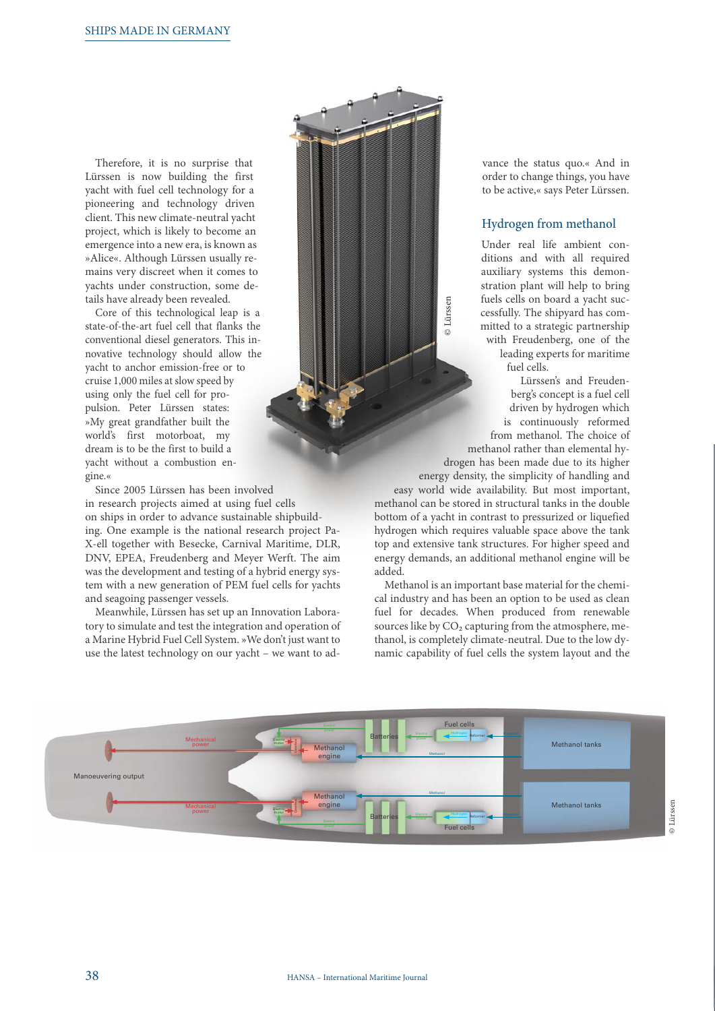Therefore, it is no surprise that Lürssen is now building the first yacht with fuel cell technology for a pioneering and technology driven client. This new climate-neutral yacht project, which is likely to become an emergence into a new era, is known as »Alice«. Although Lürssen usually remains very discreet when it comes to yachts under construction, some details have already been revealed.

Core of this technological leap is a state-of-the-art fuel cell that flanks the conventional diesel generators. This innovative technology should allow the yacht to anchor emission-free or to cruise 1,000 miles at slow speed by using only the fuel cell for propulsion. Peter Lürssen states: »My great grandfather built the world's first motorboat, my dream is to be the first to build a yacht without a combustion engine.«

Since 2005 Lürssen has been involved in research projects aimed at using fuel cells on ships in order to advance sustainable shipbuilding. One example is the national research project Pa-X-ell together with Besecke, Carnival Maritime, DLR, DNV, EPEA, Freudenberg and Meyer Werft. The aim was the development and testing of a hybrid energy system with a new generation of PEM fuel cells for yachts and seagoing passenger vessels.

Meanwhile, Lürssen has set up an Innovation Laboratory to simulate and test the integration and operation of a Marine Hybrid Fuel Cell System. »We don't just want to use the latest technology on our yacht – we want to advance the status quo.« And in order to change things, you have to be active,« says Peter Lürssen.

#### Hydrogen from methanol

Under real life ambient conditions and with all required auxiliary systems this demonstration plant will help to bring fuels cells on board a yacht successfully. The shipyard has committed to a strategic partnership with Freudenberg, one of the leading experts for maritime fuel cells.

Lürssen's and Freudenberg's concept is a fuel cell driven by hydrogen which is continuously reformed from methanol. The choice of methanol rather than elemental hy-

drogen has been made due to its higher energy density, the simplicity of handling and easy world wide availability. But most important, methanol can be stored in structural tanks in the double bottom of a yacht in contrast to pressurized or liquefied hydrogen which requires valuable space above the tank top and extensive tank structures. For higher speed and energy demands, an additional methanol engine will be added.

© Lürssen

**D**Lürssen

Methanol is an important base material for the chemical industry and has been an option to be used as clean fuel for decades. When produced from renewable sources like by  $CO<sub>2</sub>$  capturing from the atmosphere, methanol, is completely climate-neutral. Due to the low dynamic capability of fuel cells the system layout and the